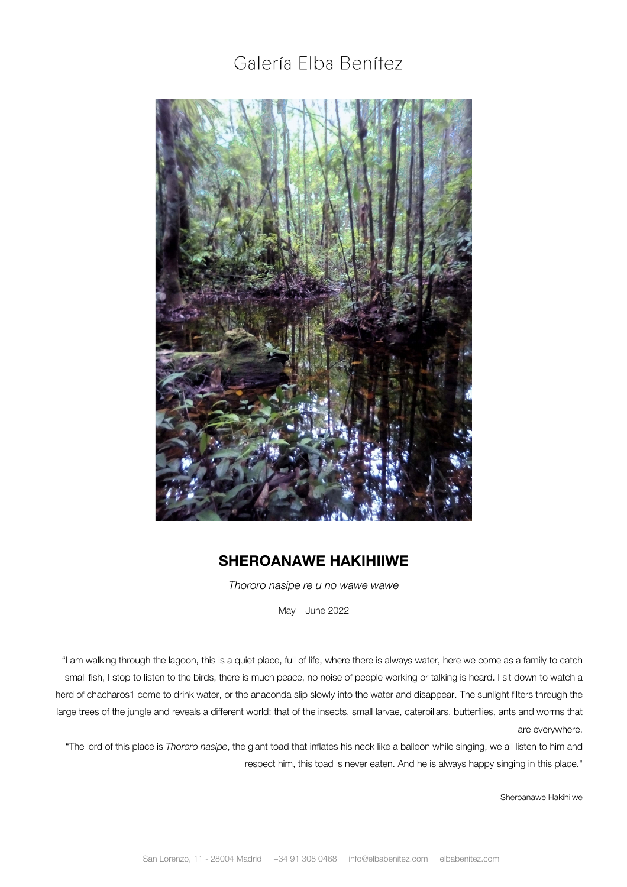## Galería Elba Benítez



## **SHEROANAWE HAKIHIIWE**

*Thororo nasipe re u no wawe wawe*

May – June 2022

"I am walking through the lagoon, this is a quiet place, full of life, where there is always water, here we come as a family to catch small fish, I stop to listen to the birds, there is much peace, no noise of people working or talking is heard. I sit down to watch a herd of chacharos1 come to drink water, or the anaconda slip slowly into the water and disappear. The sunlight filters through the large trees of the jungle and reveals a different world: that of the insects, small larvae, caterpillars, butterflies, ants and worms that are everywhere.

"The lord of this place is *Thororo nasipe*, the giant toad that inflates his neck like a balloon while singing, we all listen to him and respect him, this toad is never eaten. And he is always happy singing in this place."

Sheroanawe Hakihiiwe